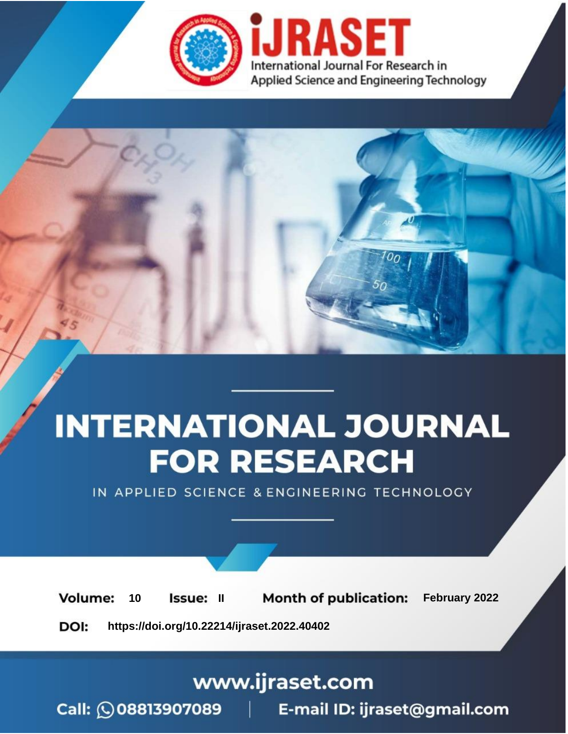

# **INTERNATIONAL JOURNAL FOR RESEARCH**

IN APPLIED SCIENCE & ENGINEERING TECHNOLOGY

**Month of publication:** February 2022 **Volume:** 10 **Issue: II** DOI: https://doi.org/10.22214/ijraset.2022.40402

www.ijraset.com

 $Call: \bigcirc$ 08813907089 E-mail ID: ijraset@gmail.com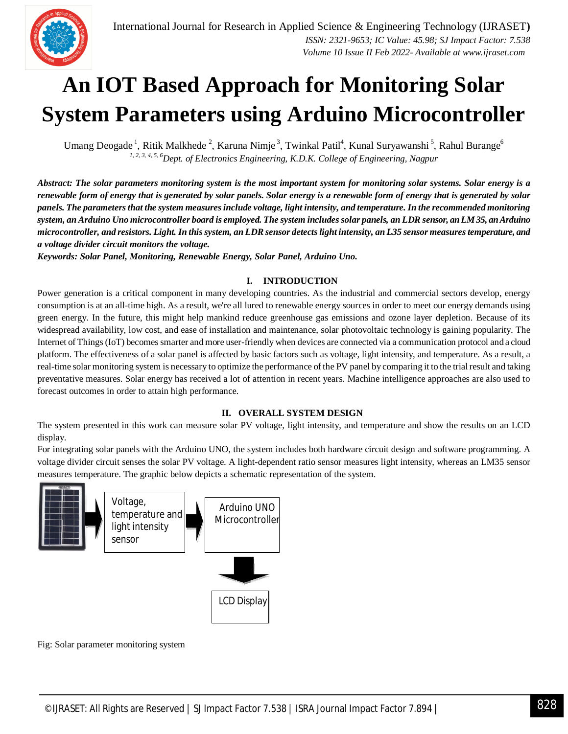

Umang Deogade<sup>1</sup>, Ritik Malkhede<sup>2</sup>, Karuna Nimje<sup>3</sup>, Twinkal Patil<sup>4</sup>, Kunal Suryawanshi<sup>5</sup>, Rahul Burange<sup>6</sup> *1, 2, 3, 4, 5, <sup>6</sup>Dept. of Electronics Engineering, K.D.K. College of Engineering, Nagpur*

*Abstract: The solar parameters monitoring system is the most important system for monitoring solar systems. Solar energy is a renewable form of energy that is generated by solar panels. Solar energy is a renewable form of energy that is generated by solar panels. The parameters that the system measures include voltage, light intensity, and temperature. In the recommended monitoring system, an Arduino Uno microcontroller board is employed. The system includes solar panels, an LDR sensor, an LM 35, an Arduino microcontroller, and resistors. Light. In this system, an LDR sensor detects light intensity, an L35 sensor measures temperature, and a voltage divider circuit monitors the voltage.*

*Keywords: Solar Panel, Monitoring, Renewable Energy, Solar Panel, Arduino Uno.*

### **I. INTRODUCTION**

Power generation is a critical component in many developing countries. As the industrial and commercial sectors develop, energy consumption is at an all-time high. As a result, we're all lured to renewable energy sources in order to meet our energy demands using green energy. In the future, this might help mankind reduce greenhouse gas emissions and ozone layer depletion. Because of its widespread availability, low cost, and ease of installation and maintenance, solar photovoltaic technology is gaining popularity. The Internet of Things (IoT) becomes smarter and more user-friendly when devices are connected via a communication protocol and a cloud platform. The effectiveness of a solar panel is affected by basic factors such as voltage, light intensity, and temperature. As a result, a real-time solar monitoring system is necessary to optimize the performance of the PV panel by comparing it to the trial result and taking preventative measures. Solar energy has received a lot of attention in recent years. Machine intelligence approaches are also used to forecast outcomes in order to attain high performance.

### **II. OVERALL SYSTEM DESIGN**

The system presented in this work can measure solar PV voltage, light intensity, and temperature and show the results on an LCD display.

For integrating solar panels with the Arduino UNO, the system includes both hardware circuit design and software programming. A voltage divider circuit senses the solar PV voltage. A light-dependent ratio sensor measures light intensity, whereas an LM35 sensor measures temperature. The graphic below depicts a schematic representation of the system.



Fig: Solar parameter monitoring system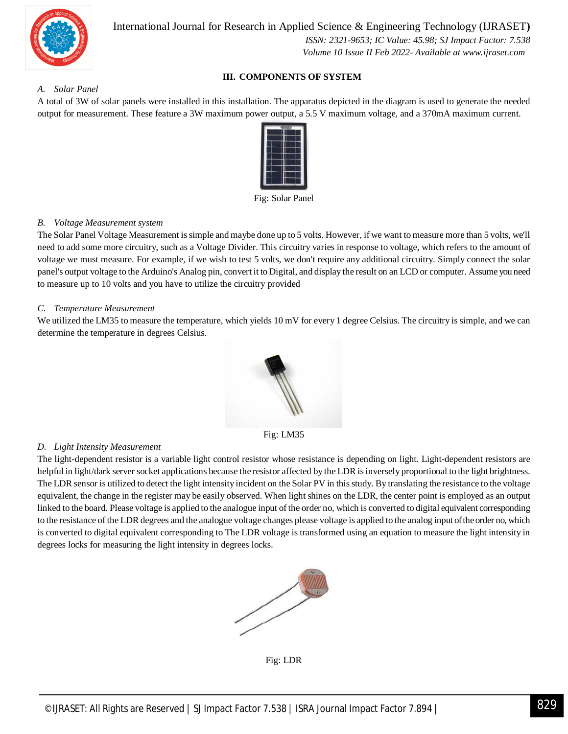

International Journal for Research in Applied Science & Engineering Technology (IJRASET**)**

 *ISSN: 2321-9653; IC Value: 45.98; SJ Impact Factor: 7.538 Volume 10 Issue II Feb 2022- Available at www.ijraset.com*

### **III. COMPONENTS OF SYSTEM**

*A. Solar Panel* 

A total of 3W of solar panels were installed in this installation. The apparatus depicted in the diagram is used to generate the needed output for measurement. These feature a 3W maximum power output, a 5.5 V maximum voltage, and a 370mA maximum current.



Fig: Solar Panel

### *B. Voltage Measurement system*

The Solar Panel Voltage Measurement is simple and maybe done up to 5 volts. However, if we want to measure more than 5 volts, we'll need to add some more circuitry, such as a Voltage Divider. This circuitry varies in response to voltage, which refers to the amount of voltage we must measure. For example, if we wish to test 5 volts, we don't require any additional circuitry. Simply connect the solar panel's output voltage to the Arduino's Analog pin, convert it to Digital, and display the result on an LCD or computer. Assume you need to measure up to 10 volts and you have to utilize the circuitry provided

### *C. Temperature Measurement*

We utilized the LM35 to measure the temperature, which yields 10 mV for every 1 degree Celsius. The circuitry is simple, and we can determine the temperature in degrees Celsius.



Fig: LM35

### *D. Light Intensity Measurement*

The light-dependent resistor is a variable light control resistor whose resistance is depending on light. Light-dependent resistors are helpful in light/dark server socket applications because the resistor affected by the LDR is inversely proportional to the light brightness. The LDR sensor is utilized to detect the light intensity incident on the Solar PV in this study. By translating the resistance to the voltage equivalent, the change in the register may be easily observed. When light shines on the LDR, the center point is employed as an output linked to the board. Please voltage is applied to the analogue input of the order no, which is converted to digital equivalent corresponding to the resistance of the LDR degrees and the analogue voltage changes please voltage is applied to the analog input of the order no, which is converted to digital equivalent corresponding to The LDR voltage is transformed using an equation to measure the light intensity in degrees locks for measuring the light intensity in degrees locks.



Fig: LDR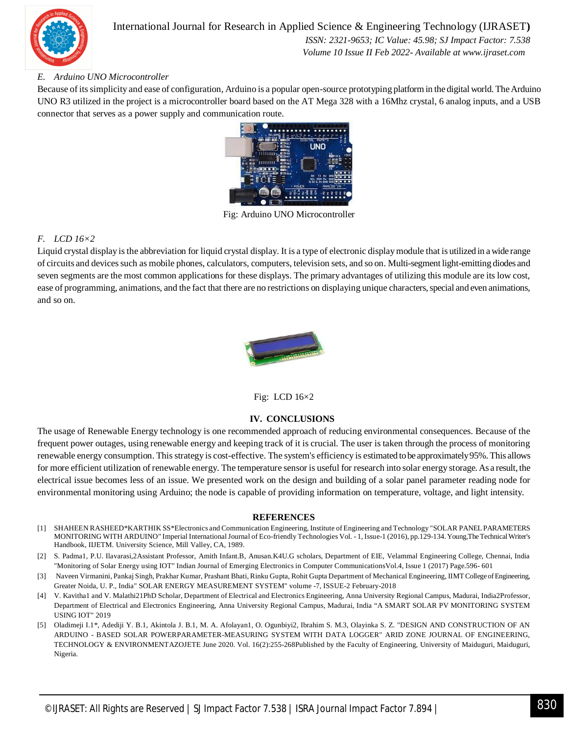

### International Journal for Research in Applied Science & Engineering Technology (IJRASET**)**

 *ISSN: 2321-9653; IC Value: 45.98; SJ Impact Factor: 7.538 Volume 10 Issue II Feb 2022- Available at www.ijraset.com*

### *E. Arduino UNO Microcontroller*

Because of its simplicity and ease of configuration, Arduino is a popular open-source prototyping platform in the digital world. The Arduino UNO R3 utilized in the project is a microcontroller board based on the AT Mega 328 with a 16Mhz crystal, 6 analog inputs, and a USB connector that serves as a power supply and communication route.



Fig: Arduino UNO Microcontroller

### *F. LCD 16×2*

Liquid crystal display is the abbreviation for liquid crystal display. It is a type of electronic display module that is utilized in a wide range of circuits and devices such as mobile phones, calculators, computers, television sets, and so on. Multi-segment light-emitting diodes and seven segments are the most common applications for these displays. The primary advantages of utilizing this module are its low cost, ease of programming, animations, and the fact that there are no restrictions on displaying unique characters, special and even animations, and so on.



Fig: LCD 16×2

### **IV. CONCLUSIONS**

The usage of Renewable Energy technology is one recommended approach of reducing environmental consequences. Because of the frequent power outages, using renewable energy and keeping track of it is crucial. The user is taken through the process of monitoring renewable energy consumption. This strategy is cost-effective. The system's efficiency is estimated to be approximately 95%. This allows for more efficient utilization of renewable energy. The temperature sensor is useful for research into solar energy storage. As a result, the electrical issue becomes less of an issue. We presented work on the design and building of a solar panel parameter reading node for environmental monitoring using Arduino; the node is capable of providing information on temperature, voltage, and light intensity.

### **REFERENCES**

- [1] SHAHEEN RASHEED\*KARTHIK SS\*Electronics and Communication Engineering, Institute of Engineering and Technology "SOLAR PANEL PARAMETERS MONITORING WITH ARDUINO" Imperial International Journal of Eco-friendly Technologies Vol. - 1, Issue-1 (2016), pp.129-134. Young,The Technical Writer's Handbook, IIJETM. University Science, Mill Valley, CA, 1989.
- [2] S. Padma1, P.U. Ilavarasi,2Assistant Professor, Amith Infant.B, Anusan.K4U.G scholars, Department of EIE, Velammal Engineering College, Chennai, India "Monitoring of Solar Energy using IOT" Indian Journal of Emerging Electronics in Computer CommunicationsVol.4, Issue 1 (2017) Page.596- 601
- [3] Naveen Virmanini, Pankaj Singh, Prakhar Kumar, Prashant Bhati, Rinku Gupta, Rohit Gupta Department of Mechanical Engineering, IIMT College of Engineering, Greater Noida, U. P., India" SOLAR ENERGY MEASUREMENT SYSTEM" volume -7, ISSUE-2 February-2018
- [4] V. Kavitha1 and V. Malathi21PhD Scholar, Department of Electrical and Electronics Engineering, Anna University Regional Campus, Madurai, India2Professor, Department of Electrical and Electronics Engineering, Anna University Regional Campus, Madurai, India "A SMART SOLAR PV MONITORING SYSTEM USING IOT" 2019
- [5] Oladimeji I.1\*, Adediji Y. B.1, Akintola J. B.1, M. A. Afolayan1, O. Ogunbiyi2, Ibrahim S. M.3, Olayinka S. Z. "DESIGN AND CONSTRUCTION OF AN ARDUINO - BASED SOLAR POWERPARAMETER-MEASURING SYSTEM WITH DATA LOGGER" ARID ZONE JOURNAL OF ENGINEERING, TECHNOLOGY & ENVIRONMENTAZOJETE June 2020. Vol. 16(2):255-268Published by the Faculty of Engineering, University of Maiduguri, Maiduguri, Nigeria.